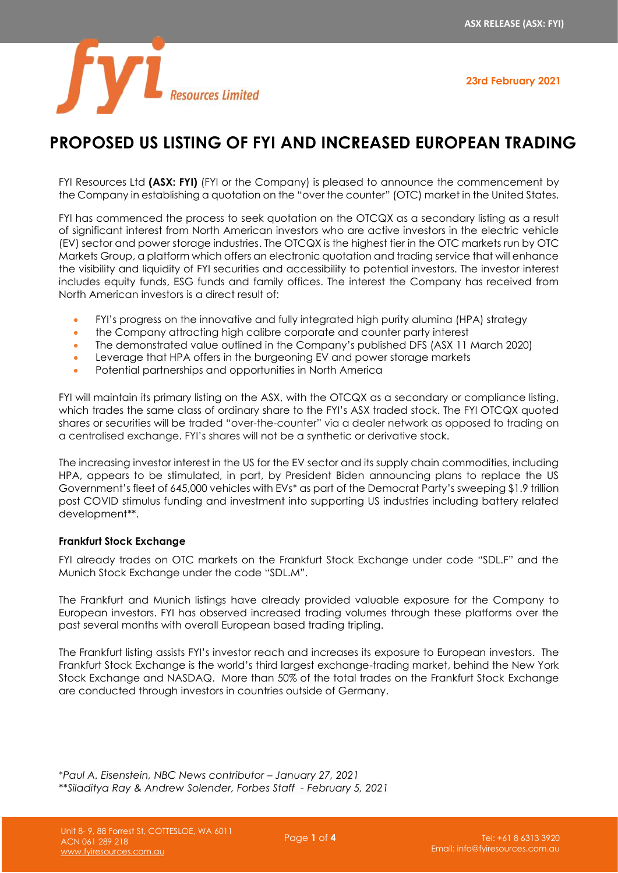**23rd February 2021**



# **PROPOSED US LISTING OF FYI AND INCREASED EUROPEAN TRADING**

FYI Resources Ltd **(ASX: FYI)** (FYI or the Company) is pleased to announce the commencement by the Company in establishing a quotation on the "over the counter" (OTC) market in the United States.

FYI has commenced the process to seek quotation on the OTCQX as a secondary listing as a result of significant interest from North American investors who are active investors in the electric vehicle (EV) sector and power storage industries. The OTCQX is the highest tier in the OTC markets run by OTC Markets Group, a platform which offers an electronic quotation and trading service that will enhance the visibility and liquidity of FYI securities and accessibility to potential investors. The investor interest includes equity funds, ESG funds and family offices. The interest the Company has received from North American investors is a direct result of:

- FYI's progress on the innovative and fully integrated high purity alumina (HPA) strategy
- the Company attracting high calibre corporate and counter party interest
- The demonstrated value outlined in the Company's published DFS (ASX 11 March 2020)
- Leverage that HPA offers in the burgeoning EV and power storage markets
- Potential partnerships and opportunities in North America

FYI will maintain its primary listing on the ASX, with the OTCQX as a secondary or compliance listing, which trades the same class of ordinary share to the FYI's ASX traded stock. The FYI OTCQX quoted shares or securities will be traded "over-the-counter" via a dealer network as opposed to trading on a centralised exchange. FYI's shares will not be a synthetic or derivative stock.

The increasing investor interest in the US for the EV sector and its supply chain commodities, including HPA, appears to be stimulated, in part, by President Biden announcing plans to replace the US Government's fleet of 645,000 vehicles with EVs\* as part of the Democrat Party's sweeping \$1.9 trillion post COVID stimulus funding and investment into supporting US industries including battery related development\*\*.

# **Frankfurt Stock Exchange**

FYI already trades on OTC markets on the Frankfurt Stock Exchange under code "SDL.F" and the Munich Stock Exchange under the code "SDL.M".

The Frankfurt and Munich listings have already provided valuable exposure for the Company to European investors. FYI has observed increased trading volumes through these platforms over the past several months with overall European based trading tripling.

The Frankfurt listing assists FYI's investor reach and increases its exposure to European investors. The Frankfurt Stock Exchange is the world's third largest exchange-trading market, behind the New York Stock Exchange and NASDAQ. More than 50% of the total trades on the Frankfurt Stock Exchange are conducted through investors in countries outside of Germany.

\**Paul A. Eisenstein, NBC News contributor – January 27, 2021 \*[\\*Siladitya Ray](https://www.forbes.com/sites/siladityaray/) & [Andrew Solender,](https://www.forbes.com/sites/andrewsolender/) Forbes Staff - February 5, 2021*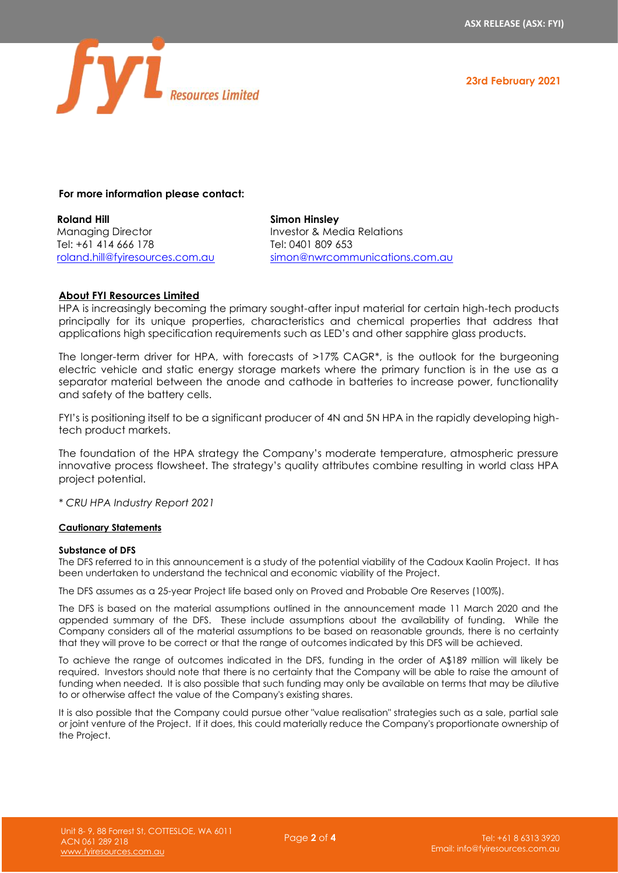**23rd February 2021**



# **For more information please contact:**

**Roland Hill** Managing Director Tel: +61 414 666 178 [roland.hill@fyiresources.com.au](mailto:roland.hill@fyiresources.com.au)

**Simon Hinsley** Investor & Media Relations Tel: 0401 809 653 [simon@nwrcommunications.com.au](mailto:simon@nwrcommunications.com.au)

## **About FYI Resources Limited**

HPA is increasingly becoming the primary sought-after input material for certain high-tech products principally for its unique properties, characteristics and chemical properties that address that applications high specification requirements such as LED's and other sapphire glass products.

The longer-term driver for HPA, with forecasts of >17% CAGR\*, is the outlook for the burgeoning electric vehicle and static energy storage markets where the primary function is in the use as a separator material between the anode and cathode in batteries to increase power, functionality and safety of the battery cells.

FYI's is positioning itself to be a significant producer of 4N and 5N HPA in the rapidly developing hightech product markets.

The foundation of the HPA strategy the Company's moderate temperature, atmospheric pressure innovative process flowsheet. The strategy's quality attributes combine resulting in world class HPA project potential.

*\* CRU HPA Industry Report 2021*

## **Cautionary Statements**

## **Substance of DFS**

The DFS referred to in this announcement is a study of the potential viability of the Cadoux Kaolin Project. It has been undertaken to understand the technical and economic viability of the Project.

The DFS assumes as a 25-year Project life based only on Proved and Probable Ore Reserves (100%).

The DFS is based on the material assumptions outlined in the announcement made 11 March 2020 and the appended summary of the DFS. These include assumptions about the availability of funding. While the Company considers all of the material assumptions to be based on reasonable grounds, there is no certainty that they will prove to be correct or that the range of outcomes indicated by this DFS will be achieved.

To achieve the range of outcomes indicated in the DFS, funding in the order of A\$189 million will likely be required. Investors should note that there is no certainty that the Company will be able to raise the amount of funding when needed. It is also possible that such funding may only be available on terms that may be dilutive to or otherwise affect the value of the Company's existing shares.

It is also possible that the Company could pursue other "value realisation" strategies such as a sale, partial sale or joint venture of the Project. If it does, this could materially reduce the Company's proportionate ownership of the Project.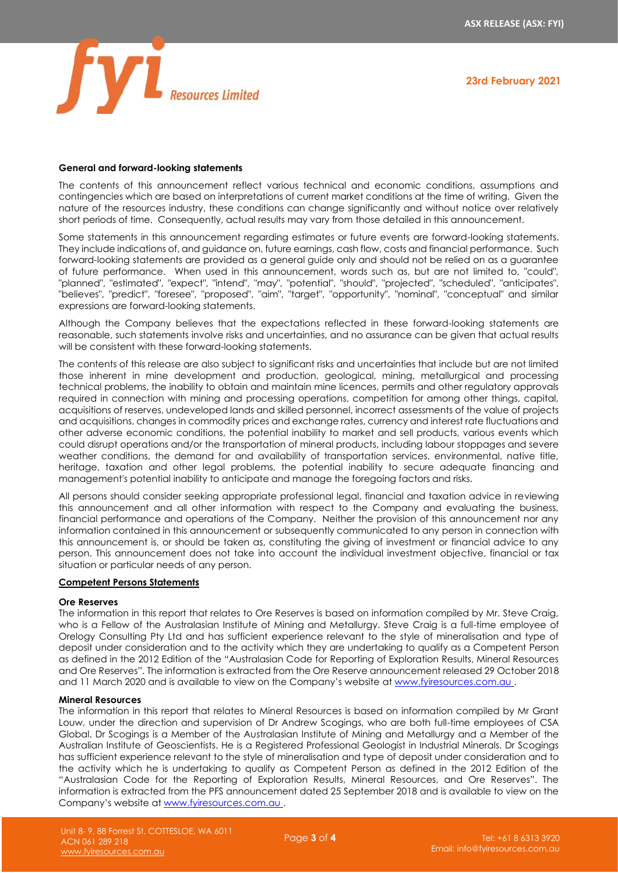



#### **General and forward-looking statements**

The contents of this announcement reflect various technical and economic conditions, assumptions and contingencies which are based on interpretations of current market conditions at the time of writing. Given the nature of the resources industry, these conditions can change significantly and without notice over relatively short periods of time. Consequently, actual results may vary from those detailed in this announcement.

Some statements in this announcement regarding estimates or future events are forward-looking statements. They include indications of, and guidance on, future earnings, cash flow, costs and financial performance. Such forward-looking statements are provided as a general guide only and should not be relied on as a guarantee of future performance. When used in this announcement, words such as, but are not limited to, "could", "planned", "estimated", "expect", "intend", "may", "potential", "should", "projected", "scheduled", "anticipates", "believes", "predict", "foresee", "proposed", "aim", "target", "opportunity", "nominal", "conceptual" and similar expressions are forward-looking statements.

Although the Company believes that the expectations reflected in these forward-looking statements are reasonable, such statements involve risks and uncertainties, and no assurance can be given that actual results will be consistent with these forward-looking statements.

The contents of this release are also subject to significant risks and uncertainties that include but are not limited those inherent in mine development and production, geological, mining, metallurgical and processing technical problems, the inability to obtain and maintain mine licences, permits and other regulatory approvals required in connection with mining and processing operations, competition for among other things, capital, acquisitions of reserves, undeveloped lands and skilled personnel, incorrect assessments of the value of projects and acquisitions, changes in commodity prices and exchange rates, currency and interest rate fluctuations and other adverse economic conditions, the potential inability to market and sell products, various events which could disrupt operations and/or the transportation of mineral products, including labour stoppages and severe weather conditions, the demand for and availability of transportation services, environmental, native title, heritage, taxation and other legal problems, the potential inability to secure adequate financing and management's potential inability to anticipate and manage the foregoing factors and risks.

All persons should consider seeking appropriate professional legal, financial and taxation advice in reviewing this announcement and all other information with respect to the Company and evaluating the business, financial performance and operations of the Company. Neither the provision of this announcement nor any information contained in this announcement or subsequently communicated to any person in connection with this announcement is, or should be taken as, constituting the giving of investment or financial advice to any person. This announcement does not take into account the individual investment objective, financial or tax situation or particular needs of any person.

# **Competent Persons Statements**

#### **Ore Reserves**

The information in this report that relates to Ore Reserves is based on information compiled by Mr. Steve Craig, who is a Fellow of the Australasian Institute of Mining and Metallurgy. Steve Craig is a full-time employee of Orelogy Consulting Pty Ltd and has sufficient experience relevant to the style of mineralisation and type of deposit under consideration and to the activity which they are undertaking to qualify as a Competent Person as defined in the 2012 Edition of the "Australasian Code for Reporting of Exploration Results, Mineral Resources and Ore Reserves". The information is extracted from the Ore Reserve announcement released 29 October 2018 and 11 March 2020 and is available to view on the Company's website at [www.fyiresources.com.au](http://www.fyiresources.com.au/) .

#### **Mineral Resources**

The information in this report that relates to Mineral Resources is based on information compiled by Mr Grant Louw, under the direction and supervision of Dr Andrew Scogings, who are both full-time employees of CSA Global. Dr Scogings is a Member of the Australasian Institute of Mining and Metallurgy and a Member of the Australian Institute of Geoscientists. He is a Registered Professional Geologist in Industrial Minerals. Dr Scogings has sufficient experience relevant to the style of mineralisation and type of deposit under consideration and to the activity which he is undertaking to qualify as Competent Person as defined in the 2012 Edition of the "Australasian Code for the Reporting of Exploration Results, Mineral Resources, and Ore Reserves". The information is extracted from the PFS announcement dated 25 September 2018 and is available to view on the Company's website at [www.fyiresources.com.au](http://www.fyiresources.com.au/) .